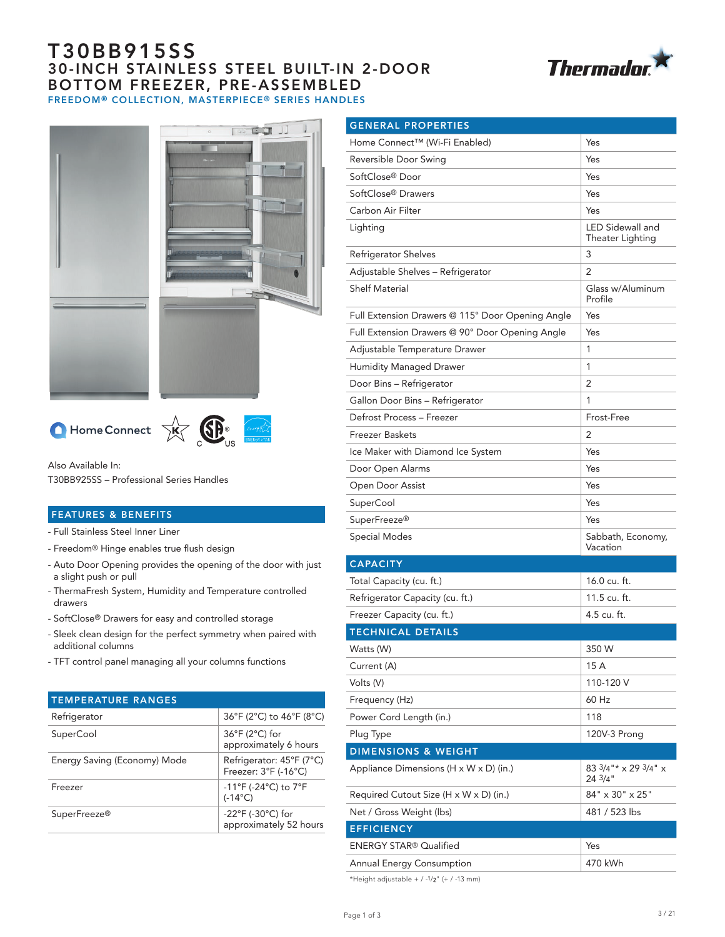# T30BB915SS 30-INCH STAINLESS STEEL BUILT-IN 2-DOOR BOTTOM FREEZER, PRE-ASSEMBLED FREEDOM® COLLECTION, MASTERPIECE® SERIES HANDLES









Also Available In:

T30BB925SS – Professional Series Handles

### FEATURES & BENEFITS

- Full Stainless Steel Inner Liner

- Freedom® Hinge enables true flush design
- Auto Door Opening provides the opening of the door with just a slight push or pull
- ThermaFresh System, Humidity and Temperature controlled drawers
- SoftClose® Drawers for easy and controlled storage
- Sleek clean design for the perfect symmetry when paired with additional columns
- TFT control panel managing all your columns functions

| <b>TEMPERATURE RANGES</b>    |                                                                          |
|------------------------------|--------------------------------------------------------------------------|
| Refrigerator                 | 36°F (2°C) to 46°F (8°C)                                                 |
| SuperCool                    | $36^{\circ}$ F (2 $^{\circ}$ C) for<br>approximately 6 hours             |
| Energy Saving (Economy) Mode | Refrigerator: 45°F (7°C)<br>Freezer: 3°F (-16°C)                         |
| Freezer                      | $-11^{\circ}$ F (-24 $^{\circ}$ C) to 7 $^{\circ}$ F<br>$(-14^{\circ}C)$ |
| SuperFreeze <sup>®</sup>     | -22 $\degree$ F (-30 $\degree$ C) for<br>approximately 52 hours          |

| <b>GENERAL PROPERTIES</b>                        |                                      |
|--------------------------------------------------|--------------------------------------|
| Home Connect™ (Wi-Fi Enabled)                    | Yes                                  |
| Reversible Door Swing                            | Yes                                  |
| SoftClose® Door                                  | Yes                                  |
| SoftClose <sup>®</sup> Drawers                   | Yes                                  |
| Carbon Air Filter                                | Yes                                  |
| Lighting                                         | LED Sidewall and<br>Theater Lighting |
| Refrigerator Shelves                             | 3                                    |
| Adjustable Shelves - Refrigerator                | 2                                    |
| <b>Shelf Material</b>                            | Glass w/Aluminum<br>Profile          |
| Full Extension Drawers @ 115° Door Opening Angle | Yes                                  |
| Full Extension Drawers @ 90° Door Opening Angle  | Yes                                  |
| Adjustable Temperature Drawer                    | 1                                    |
| Humidity Managed Drawer                          | 1                                    |
| Door Bins - Refrigerator                         | 2                                    |
| Gallon Door Bins - Refrigerator                  | 1                                    |
| Defrost Process - Freezer                        | Frost-Free                           |
| <b>Freezer Baskets</b>                           | 2                                    |
| Ice Maker with Diamond Ice System                | Yes                                  |
| Door Open Alarms                                 | Yes                                  |
| Open Door Assist                                 | Yes                                  |
| SuperCool                                        | Yes                                  |
| SuperFreeze <sup>®</sup>                         | Yes                                  |
| Special Modes                                    | Sabbath, Economy,<br>Vacation        |
| <b>CAPACITY</b>                                  |                                      |
| Total Capacity (cu. ft.)                         | 16.0 cu. ft.                         |
| Refrigerator Capacity (cu. ft.)                  | 11.5 cu. ft.                         |
| Freezer Capacity (cu. ft.)                       | 4.5 cu. ft.                          |
| <b>TECHNICAL DETAILS</b>                         |                                      |
| Watts (W)                                        | 350 W                                |
| Current (A)                                      | 15 A                                 |
| Volts (V)                                        | 110-120 V                            |
| Frequency (Hz)                                   | 60 Hz                                |
| Power Cord Length (in.)                          | 118                                  |
| Plug Type                                        | 120V-3 Prong                         |
| <b>DIMENSIONS &amp; WEIGHT</b>                   |                                      |
| Appliance Dimensions (H x W x D) (in.)           | 83 3/4"* x 29 3/4" x<br>24 3/4"      |
| Required Cutout Size (H x W x D) (in.)           | 84" x 30" x 25"                      |
| Net / Gross Weight (lbs)                         | 481 / 523 lbs                        |
| <b>EFFICIENCY</b>                                |                                      |
| ENERGY STAR® Qualified                           | Yes                                  |
| Annual Energy Consumption                        | 470 kWh                              |

\*Height adjustable +  $/$  -1/2" (+  $/$  -13 mm)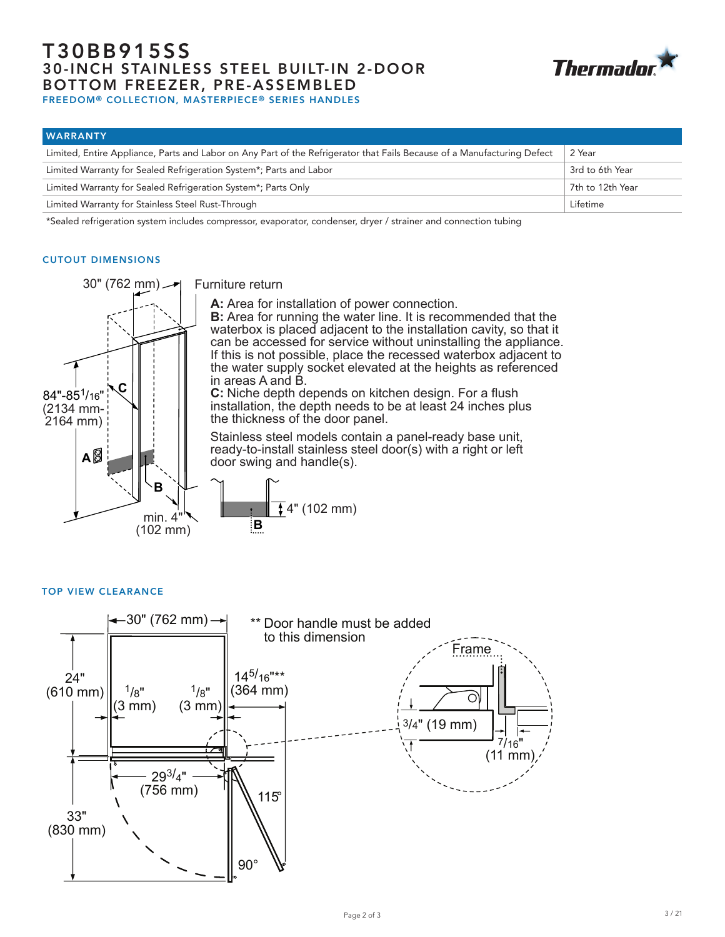# T30BB915SS 30-INCH STAINLESS STEEL BUILT-IN 2-DOOR BOTTOM FREEZER, PRE-ASSEMBLED FREEDOM® COLLECTION, MASTERPIECE® SERIES HANDLES



| <b>WARRANTY</b>                                                                                                         |                  |
|-------------------------------------------------------------------------------------------------------------------------|------------------|
| Limited, Entire Appliance, Parts and Labor on Any Part of the Refrigerator that Fails Because of a Manufacturing Defect | 2 Year           |
| Limited Warranty for Sealed Refrigeration System*; Parts and Labor                                                      | 3rd to 6th Year  |
| Limited Warranty for Sealed Refrigeration System*; Parts Only                                                           | 7th to 12th Year |
| Limited Warranty for Stainless Steel Rust-Through                                                                       | Lifetime         |

\*Sealed refrigeration system includes compressor, evaporator, condenser, dryer / strainer and connection tubing

### CUTOUT DIMENSIONS



Furniture return

**A:** Area for installation of power connection.

**B:** Area for running the water line. It is recommended that the waterbox is placed adjacent to the installation cavity, so that it can be accessed for service without uninstalling the appliance. If this is not possible, place the recessed waterbox adjacent to the water supply socket elevated at the heights as referenced in areas A and B.

**C:** Niche depth depends on kitchen design. For a flush installation, the depth needs to be at least 24 inches plus the thickness of the door panel.

Stainless steel models contain a panel-ready base unit, ready-to-install stainless steel door(s) with a right or left door swing and handle(s).



### TOP VIEW CLEARANCE